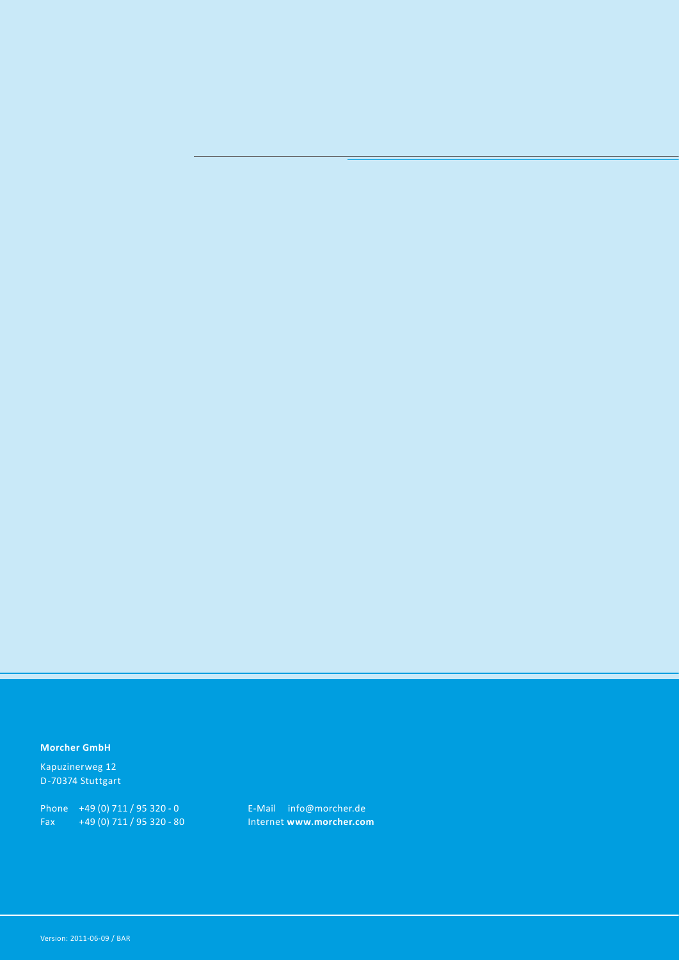#### **Morcher GmbH**

Kapuzinerweg 12 D-70374 Stuttgart

|     | Phone $+49(0)$ 711 / 95 320 - 0 | E-Mail info@morcher.de'  |
|-----|---------------------------------|--------------------------|
| Fax | +49 (0) 711 / 95 320 - 80       | Internet www.morcher.com |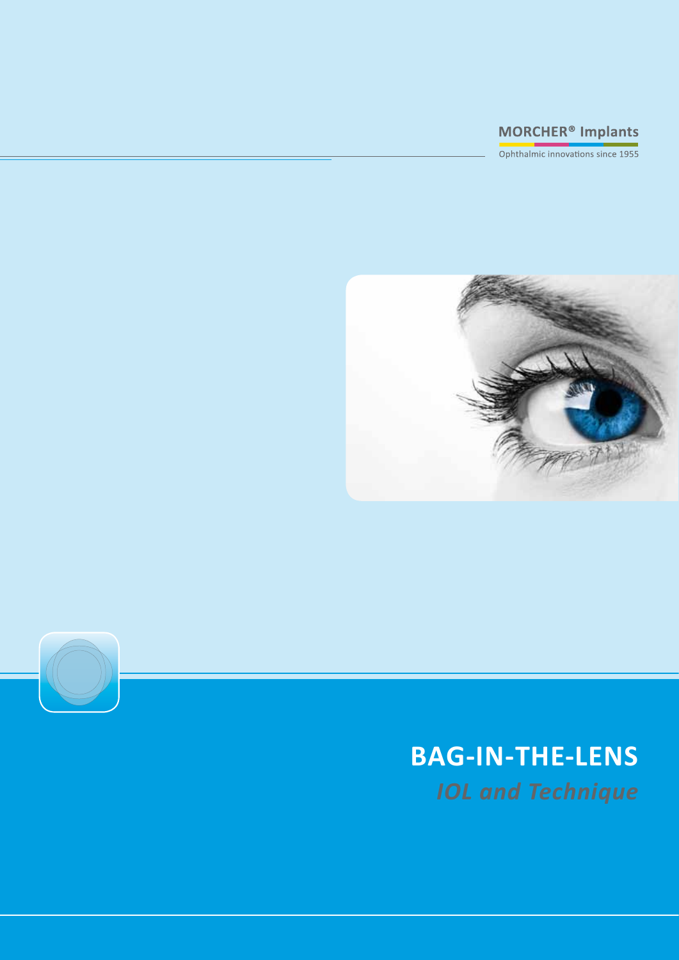

Ophthalmic innovations since 1955





## **BAG-IN-THE-LENS**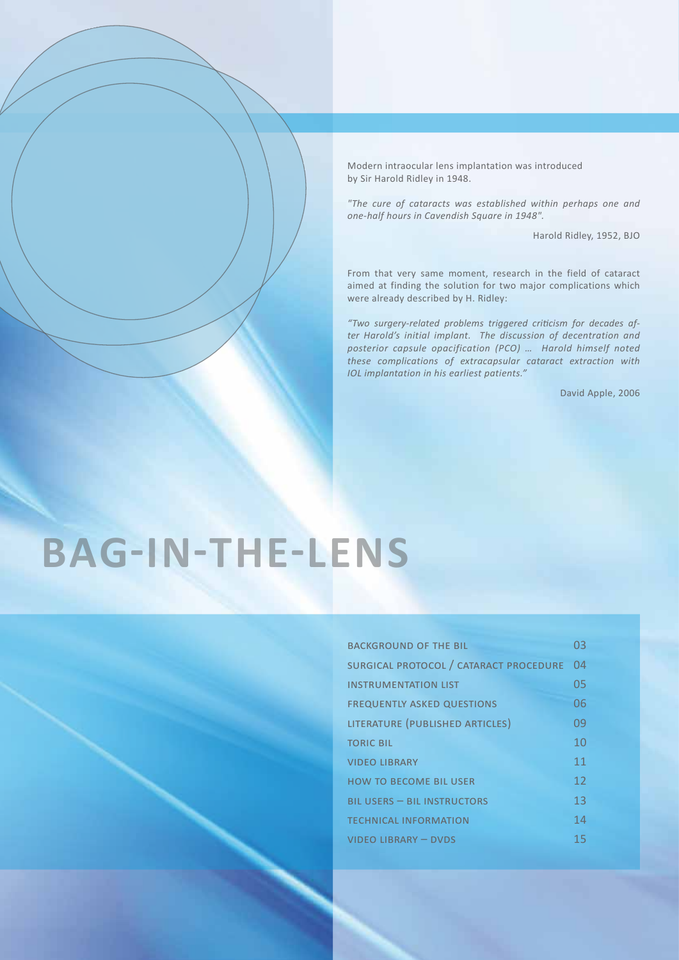Modern intraocular lens implantation was introduced by Sir Harold Ridley in 1948.

*"The cure of cataracts was established within perhaps one and one-half hours in Cavendish Square in 1948".* 

Harold Ridley, 1952, BJO

From that very same moment, research in the field of cataract aimed at finding the solution for two major complications which were already described by H. Ridley:

*"Two surgery-related problems triggered criticism for decades after Harold's initial implant. The discussion of decentration and posterior capsule opacification (PCO) … Harold himself noted these complications of extracapsular cataract extraction with IOL implantation in his earliest patients."*

David Apple, 2006

# **BAG-IN-THE-LENS**

| <b>BACKGROUND OF THE BIL</b>           | 03 |
|----------------------------------------|----|
| SURGICAL PROTOCOL / CATARACT PROCEDURE | 04 |
| <b>INSTRUMENTATION LIST</b>            | 05 |
| <b>FREQUENTLY ASKED QUESTIONS</b>      | 06 |
| LITERATURE (PUBLISHED ARTICLES)        | 09 |
| <b>TORIC BIL</b>                       | 10 |
| <b>VIDEO LIBRARY</b>                   | 11 |
| <b>HOW TO BECOME BIL USER</b>          | 12 |
| <b>BIL USERS - BIL INSTRUCTORS</b>     | 13 |
| <b>TECHNICAL INFORMATION</b>           | 14 |
| VIDEO LIBRARY - DVDS                   | 15 |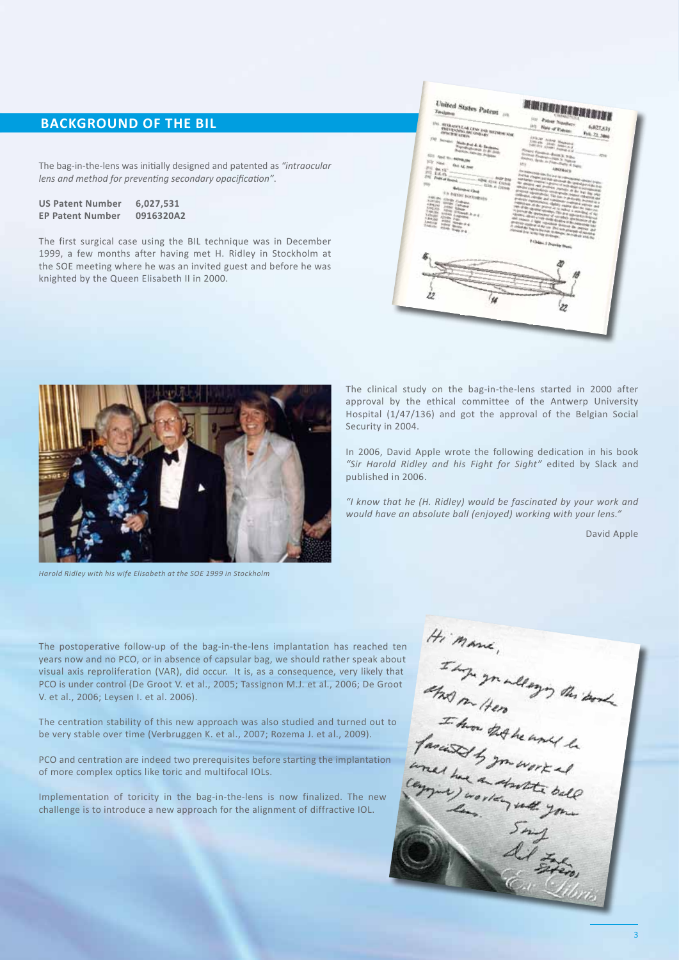#### **Background of the Bil**

The bag-in-the-lens was initially designed and patented as *"intraocular lens and method for preventing secondary opacification"*.

| <b>US Patent Number</b> | 6,027,531 |
|-------------------------|-----------|
| <b>EP Patent Number</b> | 0916320A2 |

The first surgical case using the BIL technique was in December 1999, a few months after having met H. Ridley in Stockholm at the SOE meeting where he was an invited guest and before he was knighted by the Queen Elisabeth II in 2000.

|                 | United States Patent 119                                                                             |                            | i ili kata wa<br><b>SHARTFEILA</b><br>1111 Pietess Norman T.                                                                                                                                          |                            |
|-----------------|------------------------------------------------------------------------------------------------------|----------------------------|-------------------------------------------------------------------------------------------------------------------------------------------------------------------------------------------------------|----------------------------|
|                 | THE TYPE AND LEAR LENG AND RELEASED FOR<br><b>ISPACIFICATION</b>                                     | <b>Jery</b>                | <b>Date of Painter</b>                                                                                                                                                                                | 6.027,531<br>Feb. 22, 2004 |
|                 | (1) Income Mark And A. R. Technology                                                                 |                            | Linker House Meaning<br><b>LASAN TEND NAMED A</b><br>Line are grown fromm it is                                                                                                                       |                            |
|                 | <b>Recordinghoster by Br. June</b><br>Andra Among Aristm<br><b>SIZE And her seven the</b>            |                            | Printerly discussion of most St. William<br><b>Systems Presence - Disk St. Septemb</b>                                                                                                                | <b>CSA</b>                 |
| ing.            | 1727 Flood Flex All, Fleet<br>be cy-                                                                 | $I\pi i j$                 | Adverty), Agrees on Freem-Sheetly & Figury<br>ABIVENCE                                                                                                                                                |                            |
| <b>PO TAG</b>   | The Fold of Stands                                                                                   | The Alda Bld               | the advancation boats four area and continuous relations and product                                                                                                                                  |                            |
| ma              | ADM ASVE TAXAB<br><b>Relignation Lines</b>                                                           | $-$ ADm. at 120 mm         | tion has a beginn you that commonly day sympatizes of the first<br>and batter complete to process of week states to decrease state<br>the connect and processes imposed of the date line attack       |                            |
|                 | F.A. PARENT DOCUMENTS<br><b>COLOR TIRRY College</b>                                                  |                            | entries capabilities), assistant with collect distribution of<br>produces approximately. This from the production incomediate a<br>calledged colorador and communications construct and colorates and |                            |
| <b>MAZZI</b>    | <b>Littler Brown Cashmen</b><br><b>John Balling</b>                                                  |                            | production employed and an edge of the control of the control of the control of the control of<br>temporan at the group of the indust & standing of the                                               |                            |
| Law and         | room different is not<br>Louise trong Learner<br>Life and African Print<br><b>Villey Street of A</b> |                            | the of the opinion openings. This are approved to help and<br>In provide the opportunities of exceeding approximate of the<br>cannot allow I your name and in the processes for                       |                            |
|                 | LAFLED STONE BANKS<br>Lincoln Alms Impact                                                            | closed by it do by trimes. | and thousand a lighty proposition through the entropy and<br>propins replaced if the row that date primate of develops<br>is colored the high to the local techniques, as contrast and the            |                            |
|                 |                                                                                                      |                            | <b><i><u><i><b>Fildens 2 Desving House</b></i></u></i></b>                                                                                                                                            |                            |
|                 |                                                                                                      |                            |                                                                                                                                                                                                       |                            |
|                 |                                                                                                      |                            |                                                                                                                                                                                                       |                            |
| <b>Robert M</b> |                                                                                                      |                            |                                                                                                                                                                                                       |                            |
|                 |                                                                                                      |                            |                                                                                                                                                                                                       |                            |
|                 |                                                                                                      | w                          |                                                                                                                                                                                                       |                            |
|                 |                                                                                                      |                            |                                                                                                                                                                                                       |                            |
|                 |                                                                                                      |                            |                                                                                                                                                                                                       |                            |
|                 |                                                                                                      |                            |                                                                                                                                                                                                       |                            |



*Harold Ridley with his wife Elisabeth at the SOE 1999 in Stockholm*

The clinical study on the bag-in-the-lens started in 2000 after approval by the ethical committee of the Antwerp University Hospital (1/47/136) and got the approval of the Belgian Social Security in 2004.

In 2006, David Apple wrote the following dedication in his book *"Sir Harold Ridley and his Fight for Sight"* edited by Slack and published in 2006.

*"I know that he (H. Ridley) would be fascinated by your work and would have an absolute ball (enjoyed) working with your lens."*

David Apple

years now and no PCO, or in absence of capsular bag, we should rather speak about visual axis reproliferation (VAR), did occur. It is, as a consequence, very likely that PCO is under control (De Groot V. et al., 2005; Tassignon M.J. et al., 2006; De Groot V. et al., 2006; Leysen I. et al. 2006).

The centration stability of this new approach was also studied and turned out to be very stable over time (Verbruggen K. et al., 2007; Rozema J. et al., 2009).

PCO and centration are indeed two prerequisites before starting the implantation of more complex optics like toric and multifocal IOLs.

Implementation of toricity in the bag-in-the-lens is now finalized. The new challenge is to introduce a new approach for the alignment of diffractive IOL.

The postoperative follow-up of the bag-in-the-lens implantation has reached ten the *MAML*<br>
visual axis reprolieration (NAR), did occur. It is, as a consequence, very likely the typical axis reproduce the SCO is under con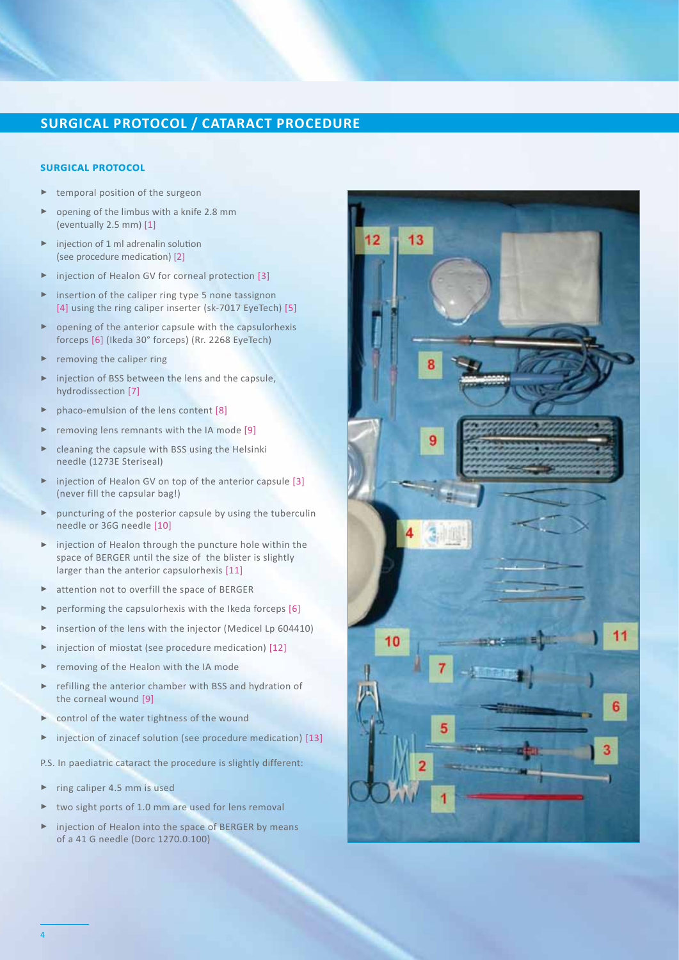## **Surgical Protocol / Cataract procedure**

#### **surgical protocol**

- **►** temporal position of the surgeon
- **►** opening of the limbus with a knife 2.8 mm (eventually 2.5 mm) [1]
- **►** injection of 1 ml adrenalin solution (see procedure medication) [2]
- **►** injection of Healon GV for corneal protection [3]
- **►** insertion of the caliper ring type 5 none tassignon [4] using the ring caliper inserter (sk-7017 EyeTech) [5]
- **►** opening of the anterior capsule with the capsulorhexis forceps [6] (Ikeda 30° forceps) (Rr. 2268 EyeTech)
- removing the caliper ring
- **►** injection of BSS between the lens and the capsule, hydrodissection [7]
- **►** phaco-emulsion of the lens content [8]
- **►** removing lens remnants with the IA mode [9]
- **►** cleaning the capsule with BSS using the Helsinki needle (1273E Steriseal)
- **►** injection of Healon GV on top of the anterior capsule [3] (never fill the capsular bag!)
- **►** puncturing of the posterior capsule by using the tuberculin needle or 36G needle [10]
- **►** injection of Healon through the puncture hole within the space of BERGER until the size of the blister is slightly larger than the anterior capsulorhexis [11]
- **►** attention not to overfill the space of BERGER
- **►** performing the capsulorhexis with the Ikeda forceps [6]
- **►** insertion of the lens with the injector (Medicel Lp 604410)
- **►** injection of miostat (see procedure medication) [12]
- **►** removing of the Healon with the IA mode
- **►** refilling the anterior chamber with BSS and hydration of the corneal wound [9]
- **►** control of the water tightness of the wound
- **►** injection of zinacef solution (see procedure medication) [13]

P.S. In paediatric cataract the procedure is slightly different:

- **►** ring caliper 4.5 mm is used
- **►** two sight ports of 1.0 mm are used for lens removal
- **►** injection of Healon into the space of BERGER by means of a 41 G needle (Dorc 1270.0.100)

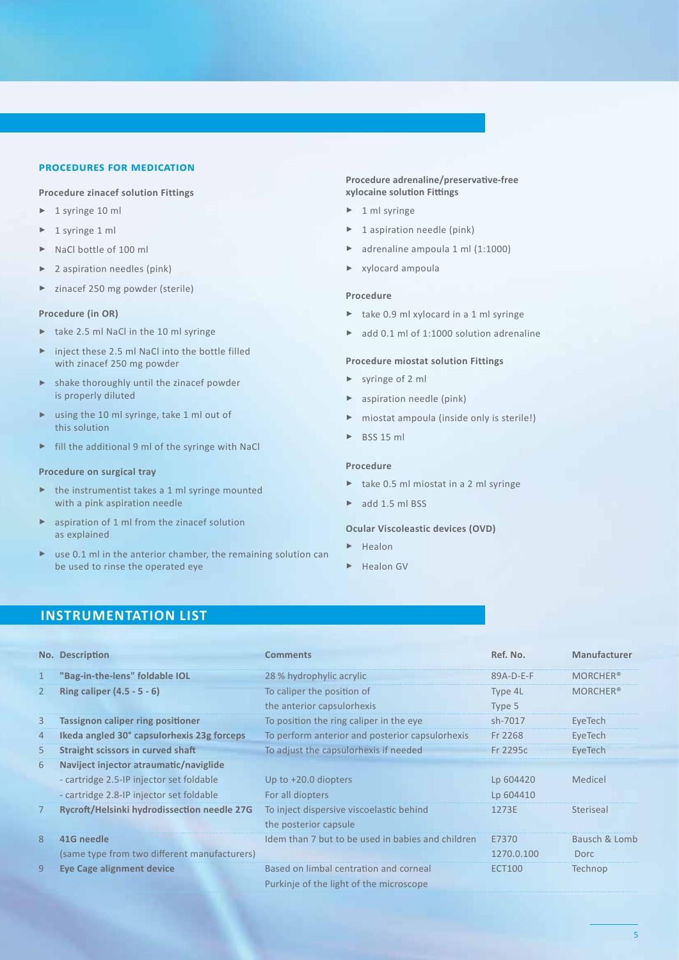#### **procedures for medication**

#### **Procedure zinacef solution Fittings**

- **►** 1 syringe 10 ml
- **►** 1 syringe 1 ml
- **►** NaCl bottle of 100 ml
- **►** 2 aspiration needles (pink)
- **►** zinacef 250 mg powder (sterile)

#### **Procedure (in OR)**

- **►** take 2.5 ml NaCl in the 10 ml syringe
- **►** inject these 2.5 ml NaCl into the bottle filled with zinacef 250 mg powder
- **►** shake thoroughly until the zinacef powder is properly diluted
- **►** using the 10 ml syringe, take 1 ml out of this solution
- **►** fill the additional 9 ml of the syringe with NaCl

#### **Procedure on surgical tray**

- **►** the instrumentist takes a 1 ml syringe mounted with a pink aspiration needle
- **►** aspiration of 1 ml from the zinacef solution as explained
- **►** use 0.1 ml in the anterior chamber, the remaining solution can be used to rinse the operated eye

#### **Procedure adrenaline/preservative-free xylocaine solution Fittings**

- **►** 1 ml syringe
- **►** 1 aspiration needle (pink)
- **►** adrenaline ampoula 1 ml (1:1000)
- **►** xylocard ampoula

#### **Procedure**

- **►** take 0.9 ml xylocard in a 1 ml syringe
- **►** add 0.1 ml of 1:1000 solution adrenaline

#### **Procedure miostat solution Fittings**

- **►** syringe of 2 ml
- **►** aspiration needle (pink)
- **►** miostat ampoula (inside only is sterile!)
- **►** BSS 15 ml

#### **Procedure**

- **►** take 0.5 ml miostat in a 2 ml syringe
- **►** add 1.5 ml BSS

#### **Ocular Viscoleastic devices (OVD)**

- **►** Healon
- **►** Healon GV

#### **Instrumentation list**

|                | <b>No. Description</b>                       | <b>Comments</b>                                                                   | Ref. No.      | <b>Manufacturer</b>  |
|----------------|----------------------------------------------|-----------------------------------------------------------------------------------|---------------|----------------------|
| 1              | "Bag-in-the-lens" foldable IOL               | 28 % hydrophylic acrylic                                                          | $89A-D-E-F$   | MORCHER <sup>®</sup> |
| $\overline{2}$ | Ring caliper $(4.5 - 5 - 6)$                 | To caliper the position of                                                        | Type 4L       | MORCHER <sup>®</sup> |
|                |                                              | the anterior capsulorhexis                                                        | Type 5        |                      |
| 3              | <b>Tassignon caliper ring positioner</b>     | To position the ring caliper in the eye                                           | sh-7017       | EyeTech              |
| 4              | Ikeda angled 30° capsulorhexis 23g forceps   | To perform anterior and posterior capsulorhexis                                   | Fr 2268       | EveTech              |
| 5              | Straight scissors in curved shaft            | To adjust the capsulorhexis if needed                                             | Fr 2295c      | EyeTech              |
| 6              | Naviject injector atraumatic/naviglide       |                                                                                   |               |                      |
|                | - cartridge 2.5-IP injector set foldable     | Up to $+20.0$ diopters                                                            | Lp 604420     | Medicel              |
|                | - cartridge 2.8-IP injector set foldable     | For all diopters                                                                  | Lp 604410     |                      |
| 7              | Rycroft/Helsinki hydrodissection needle 27G  | To inject dispersive viscoelastic behind                                          | 1273E         | Steriseal            |
|                |                                              | the posterior capsule                                                             |               |                      |
| $\mathsf{R}$   | 41G needle                                   | Idem than 7 but to be used in babies and children                                 | E7370         | Bausch & Lomb        |
|                | (same type from two different manufacturers) |                                                                                   | 1270.0.100    | Dorc.                |
| 9              | Eye Cage alignment device                    | Based on limbal centration and corneal<br>Purkinje of the light of the microscope | <b>ECT100</b> | Technop              |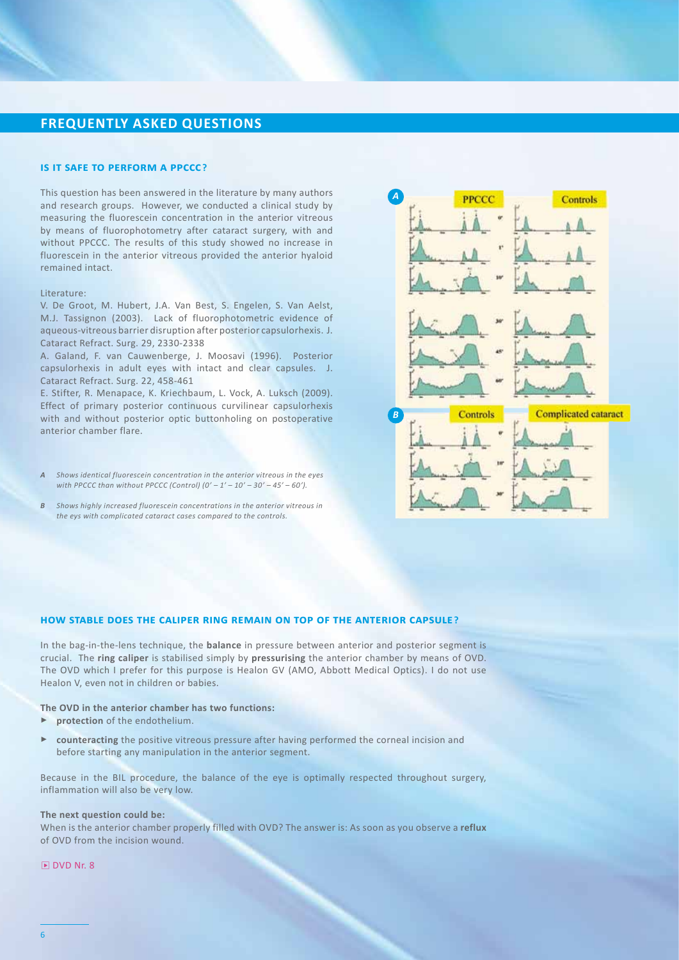#### **Frequently asked questions**

#### **is it safe to perform a ppccc?**

This question has been answered in the literature by many authors and research groups. However, we conducted a clinical study by measuring the fluorescein concentration in the anterior vitreous by means of fluorophotometry after cataract surgery, with and without PPCCC. The results of this study showed no increase in fluorescein in the anterior vitreous provided the anterior hyaloid remained intact.

#### Literature:

V. De Groot, M. Hubert, J.A. Van Best, S. Engelen, S. Van Aelst, M.J. Tassignon (2003). Lack of fluorophotometric evidence of aqueous-vitreous barrier disruption after posterior capsulorhexis. J. Cataract Refract. Surg. 29, 2330-2338

A. Galand, F. van Cauwenberge, J. Moosavi (1996). Posterior capsulorhexis in adult eyes with intact and clear capsules. J. Cataract Refract. Surg. 22, 458-461

E. Stifter, R. Menapace, K. Kriechbaum, L. Vock, A. Luksch (2009). Effect of primary posterior continuous curvilinear capsulorhexis with and without posterior optic buttonholing on postoperative anterior chamber flare.

- *A Shows identical fluorescein concentration in the anterior vitreous in the eyes with PPCCC than without PPCCC (Control) (0' – 1' – 10' – 30' – 45' – 60').*
- *B Shows highly increased fluorescein concentrations in the anterior vitreous in the eys with complicated cataract cases compared to the controls.*



#### **how stable does the caliper ring remain on top of the anterior capsule ?**

In the bag-in-the-lens technique, the **balance** in pressure between anterior and posterior segment is crucial. The **ring caliper** is stabilised simply by **pressurising** the anterior chamber by means of OVD. The OVD which I prefer for this purpose is Healon GV (AMO, Abbott Medical Optics). I do not use Healon V, even not in children or babies.

#### **The OVD in the anterior chamber has two functions:**

- **► protection** of the endothelium.
- **► counteracting** the positive vitreous pressure after having performed the corneal incision and before starting any manipulation in the anterior segment.

Because in the BIL procedure, the balance of the eye is optimally respected throughout surgery, inflammation will also be very low.

#### **The next question could be:**

When is the anterior chamber properly filled with OVD? The answer is: As soon as you observe a **reflux** of OVD from the incision wound.

#### DVD Nr. 8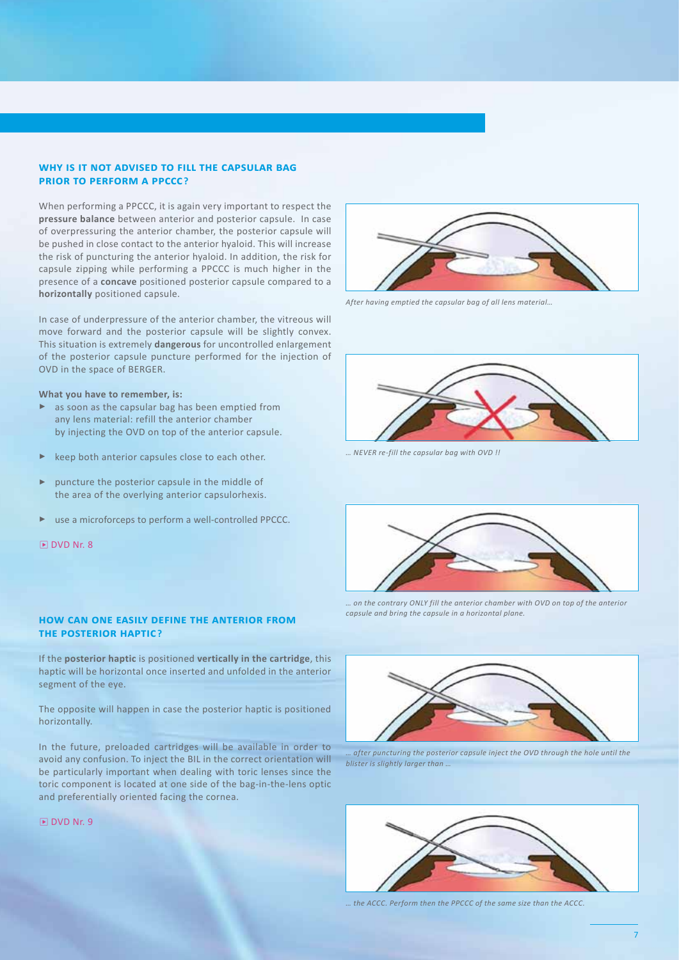#### **why is it not advised to fill the capsular bag prior to perform a ppccc?**

When performing a PPCCC, it is again very important to respect the **pressure balance** between anterior and posterior capsule. In case of overpressuring the anterior chamber, the posterior capsule will be pushed in close contact to the anterior hyaloid. This will increase the risk of puncturing the anterior hyaloid. In addition, the risk for capsule zipping while performing a PPCCC is much higher in the presence of a **concave** positioned posterior capsule compared to a **horizontally** positioned capsule.

In case of underpressure of the anterior chamber, the vitreous will move forward and the posterior capsule will be slightly convex. This situation is extremely **dangerous** for uncontrolled enlargement of the posterior capsule puncture performed for the injection of OVD in the space of BERGER.

#### **What you have to remember, is:**

- **►** as soon as the capsular bag has been emptied from any lens material: refill the anterior chamber by injecting the OVD on top of the anterior capsule.
- **►** keep both anterior capsules close to each other.
- **►** puncture the posterior capsule in the middle of the area of the overlying anterior capsulorhexis.
- **►** use a microforceps to perform a well-controlled PPCCC.
- DVD Nr. 8

#### **how can one easily define the anterior from the posterior haptic?**

If the **posterior haptic** is positioned **vertically in the cartridge**, this haptic will be horizontal once inserted and unfolded in the anterior segment of the eye.

The opposite will happen in case the posterior haptic is positioned horizontally.

In the future, preloaded cartridges will be available in order to avoid any confusion. To inject the BIL in the correct orientation will be particularly important when dealing with toric lenses since the toric component is located at one side of the bag-in-the-lens optic and preferentially oriented facing the cornea.

D DVD Nr. 9



*After having emptied the capsular bag of all lens material…*



*… NEVER re-fill the capsular bag with OVD !!*



*… on the contrary ONLY fill the anterior chamber with OVD on top of the anterior capsule and bring the capsule in a horizontal plane.*



*… after puncturing the posterior capsule inject the OVD through the hole until the blister is slightly larger than …*



*… the ACCC. Perform then the PPCCC of the same size than the ACCC.*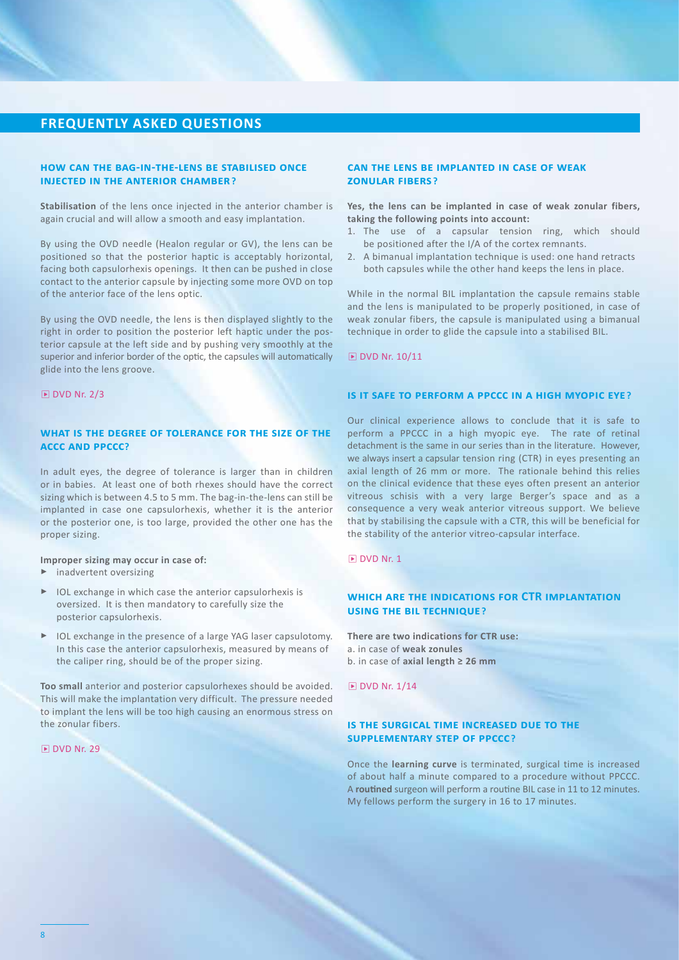#### **FREQUENTLY ASKED QUESTION**

#### **how can the bag-in-the-lens be stabilised once injected in the anterior chamber?**

**Stabilisation** of the lens once injected in the anterior chamber is again crucial and will allow a smooth and easy implantation.

By using the OVD needle (Healon regular or GV), the lens can be positioned so that the posterior haptic is acceptably horizontal, facing both capsulorhexis openings. It then can be pushed in close contact to the anterior capsule by injecting some more OVD on top of the anterior face of the lens optic.

By using the OVD needle, the lens is then displayed slightly to the right in order to position the posterior left haptic under the posterior capsule at the left side and by pushing very smoothly at the superior and inferior border of the optic, the capsules will automatically glide into the lens groove.

#### $DVD$  Nr. 2/3

#### **what is the degree of tolerance for the size of the accc and ppccc?**

In adult eyes, the degree of tolerance is larger than in children or in babies. At least one of both rhexes should have the correct sizing which is between 4.5 to 5 mm. The bag-in-the-lens can still be implanted in case one capsulorhexis, whether it is the anterior or the posterior one, is too large, provided the other one has the proper sizing.

#### **Improper sizing may occur in case of:**

- **►** inadvertent oversizing
- **►** IOL exchange in which case the anterior capsulorhexis is oversized. It is then mandatory to carefully size the posterior capsulorhexis.
- **►** IOL exchange in the presence of a large YAG laser capsulotomy. In this case the anterior capsulorhexis, measured by means of the caliper ring, should be of the proper sizing.

**Too small** anterior and posterior capsulorhexes should be avoided. This will make the implantation very difficult. The pressure needed to implant the lens will be too high causing an enormous stress on the zonular fibers.

#### DVD Nr. 29

#### **can the lens be implanted in case of weak zonular fibers ?**

**Yes, the lens can be implanted in case of weak zonular fibers, taking the following points into account:**

- 1. The use of a capsular tension ring, which should be positioned after the I/A of the cortex remnants.
- 2. A bimanual implantation technique is used: one hand retracts both capsules while the other hand keeps the lens in place.

While in the normal BIL implantation the capsule remains stable and the lens is manipulated to be properly positioned, in case of weak zonular fibers, the capsule is manipulated using a bimanual technique in order to glide the capsule into a stabilised BIL.

 $\triangleright$  DVD Nr. 10/11

#### **is it safe to perform a ppccc in a high myopic eye ?**

Our clinical experience allows to conclude that it is safe to perform a PPCCC in a high myopic eye. The rate of retinal detachment is the same in our series than in the literature. However, we always insert a capsular tension ring (CTR) in eyes presenting an axial length of 26 mm or more. The rationale behind this relies on the clinical evidence that these eyes often present an anterior vitreous schisis with a very large Berger's space and as a consequence a very weak anterior vitreous support. We believe that by stabilising the capsule with a CTR, this will be beneficial for the stability of the anterior vitreo-capsular interface.

#### $\triangleright$  DVD Nr. 1

#### **which are the indications for CTR implantation USING THE BIL TECHNIQUE?**

**There are two indications for CTR use:** a. in case of **weak zonules** b. in case of **axial length ≥ 26 mm**

 $\overline{N}$  DVD Nr. 1/14

#### **IS THE SURGICAL TIME INCREASED DUE TO THE supplementary step of ppccc?**

Once the **learning curve** is terminated, surgical time is increased of about half a minute compared to a procedure without PPCCC. A **routined** surgeon will perform a routine BIL case in 11 to 12 minutes. My fellows perform the surgery in 16 to 17 minutes.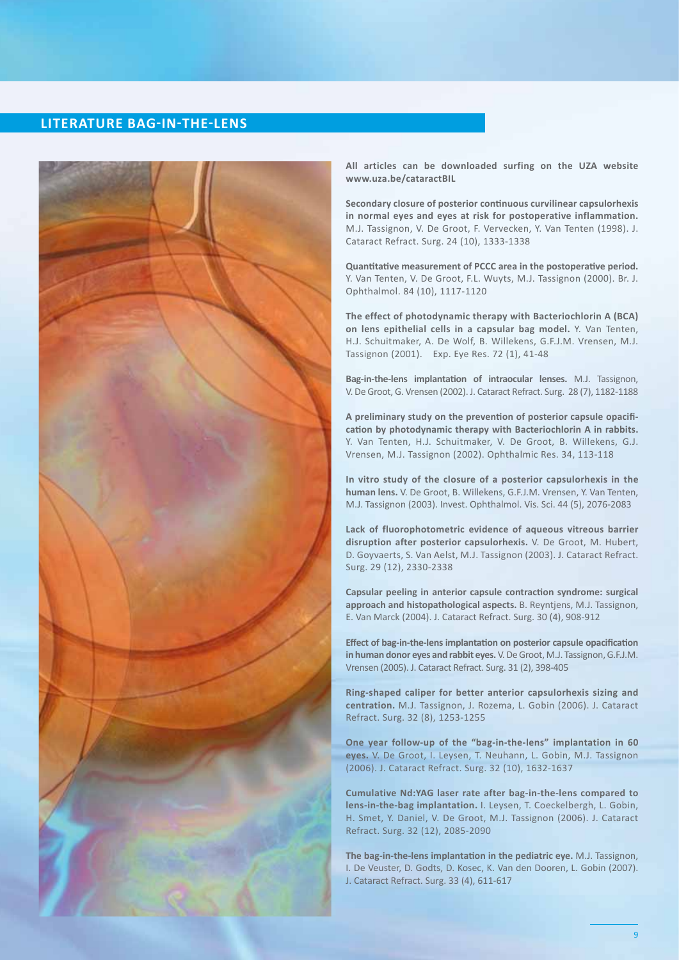#### **Literature Bag-in-the-lens**



**All articles can be downloaded surfing on the UZA website www.uza.be/cataractBIL** 

**Secondary closure of posterior continuous curvilinear capsulorhexis in normal eyes and eyes at risk for postoperative inflammation.** M.J. Tassignon, V. De Groot, F. Vervecken, Y. Van Tenten (1998). J. Cataract Refract. Surg. 24 (10), 1333-1338

**Quantitative measurement of PCCC area in the postoperative period.** Y. Van Tenten, V. De Groot, F.L. Wuyts, M.J. Tassignon (2000). Br. J. Ophthalmol. 84 (10), 1117-1120

**The effect of photodynamic therapy with Bacteriochlorin A (BCA) on lens epithelial cells in a capsular bag model.** Y. Van Tenten, H.J. Schuitmaker, A. De Wolf, B. Willekens, G.F.J.M. Vrensen, M.J. Tassignon (2001). Exp. Eye Res. 72 (1), 41-48

**Bag-in-the-lens implantation of intraocular lenses.** M.J. Tassignon, V. De Groot, G. Vrensen (2002). J. Cataract Refract. Surg. 28 (7), 1182-1188

**A preliminary study on the prevention of posterior capsule opacification by photodynamic therapy with Bacteriochlorin A in rabbits.** Y. Van Tenten, H.J. Schuitmaker, V. De Groot, B. Willekens, G.J. Vrensen, M.J. Tassignon (2002). Ophthalmic Res. 34, 113-118

**In vitro study of the closure of a posterior capsulorhexis in the human lens.** V. De Groot, B. Willekens, G.F.J.M. Vrensen, Y. Van Tenten, M.J. Tassignon (2003). Invest. Ophthalmol. Vis. Sci. 44 (5), 2076-2083

**Lack of fluorophotometric evidence of aqueous vitreous barrier disruption after posterior capsulorhexis.** V. De Groot, M. Hubert, D. Goyvaerts, S. Van Aelst, M.J. Tassignon (2003). J. Cataract Refract. Surg. 29 (12), 2330-2338

**Capsular peeling in anterior capsule contraction syndrome: surgical approach and histopathological aspects.** B. Reyntjens, M.J. Tassignon, E. Van Marck (2004). J. Cataract Refract. Surg. 30 (4), 908-912

**Effect of bag-in-the-lens implantation on posterior capsule opacification in human donor eyes and rabbit eyes.** V. De Groot, M.J. Tassignon, G.F.J.M. Vrensen (2005). J. Cataract Refract. Surg. 31 (2), 398-405

**Ring-shaped caliper for better anterior capsulorhexis sizing and centration.** M.J. Tassignon, J. Rozema, L. Gobin (2006). J. Cataract Refract. Surg. 32 (8), 1253-1255

**One year follow-up of the "bag-in-the-lens" implantation in 60 eyes.** V. De Groot, I. Leysen, T. Neuhann, L. Gobin, M.J. Tassignon (2006). J. Cataract Refract. Surg. 32 (10), 1632-1637

**Cumulative Nd:YAG laser rate after bag-in-the-lens compared to lens-in-the-bag implantation.** I. Leysen, T. Coeckelbergh, L. Gobin, H. Smet, Y. Daniel, V. De Groot, M.J. Tassignon (2006). J. Cataract Refract. Surg. 32 (12), 2085-2090

**The bag-in-the-lens implantation in the pediatric eye.** M.J. Tassignon, I. De Veuster, D. Godts, D. Kosec, K. Van den Dooren, L. Gobin (2007). J. Cataract Refract. Surg. 33 (4), 611-617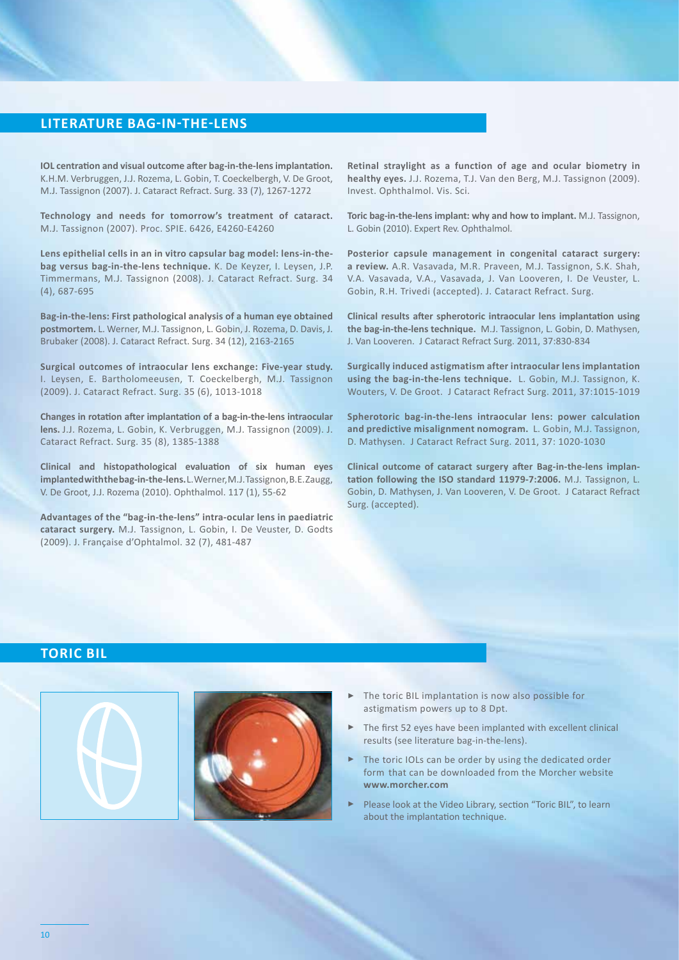#### **Literature Bag-in-the-lens**

**IOL centration and visual outcome after bag-in-the-lens implantation.** K.H.M. Verbruggen, J.J. Rozema, L. Gobin, T. Coeckelbergh, V. De Groot, M.J. Tassignon (2007). J. Cataract Refract. Surg. 33 (7), 1267-1272

**Technology and needs for tomorrow's treatment of cataract.** M.J. Tassignon (2007). Proc. SPIE. 6426, E4260-E4260

**Lens epithelial cells in an in vitro capsular bag model: lens-in-thebag versus bag-in-the-lens technique.** K. De Keyzer, I. Leysen, J.P. Timmermans, M.J. Tassignon (2008). J. Cataract Refract. Surg. 34 (4), 687-695

**Bag-in-the-lens: First pathological analysis of a human eye obtained postmortem.** L. Werner, M.J. Tassignon, L. Gobin, J. Rozema, D. Davis, J. Brubaker (2008). J. Cataract Refract. Surg. 34 (12), 2163-2165

**Surgical outcomes of intraocular lens exchange: Five-year study.** I. Leysen, E. Bartholomeeusen, T. Coeckelbergh, M.J. Tassignon (2009). J. Cataract Refract. Surg. 35 (6), 1013-1018

**Changes in rotation after implantation of a bag-in-the-lens intraocular lens.** J.J. Rozema, L. Gobin, K. Verbruggen, M.J. Tassignon (2009). J. Cataract Refract. Surg. 35 (8), 1385-1388

**Clinical and histopathological evaluation of six human eyes implanted with the bag-in-the-lens.** L. Werner, M.J. Tassignon, B.E. Zaugg, V. De Groot, J.J. Rozema (2010). Ophthalmol. 117 (1), 55-62

**Advantages of the "bag-in-the-lens" intra-ocular lens in paediatric cataract surgery.** M.J. Tassignon, L. Gobin, I. De Veuster, D. Godts (2009). J. Française d'Ophtalmol. 32 (7), 481-487

**Retinal straylight as a function of age and ocular biometry in healthy eyes.** J.J. Rozema, T.J. Van den Berg, M.J. Tassignon (2009). Invest. Ophthalmol. Vis. Sci.

**Toric bag-in-the-lens implant: why and how to implant.** M.J. Tassignon, L. Gobin (2010). Expert Rev. Ophthalmol.

**Posterior capsule management in congenital cataract surgery: a review.** A.R. Vasavada, M.R. Praveen, M.J. Tassignon, S.K. Shah, V.A. Vasavada, V.A., Vasavada, J. Van Looveren, I. De Veuster, L. Gobin, R.H. Trivedi (accepted). J. Cataract Refract. Surg.

**Clinical results after spherotoric intraocular lens implantation using the bag-in-the-lens technique.** M.J. Tassignon, L. Gobin, D. Mathysen, J. Van Looveren. J Cataract Refract Surg. 2011, 37:830-834

**Surgically induced astigmatism after intraocular lens implantation using the bag-in-the-lens technique.** L. Gobin, M.J. Tassignon, K. Wouters, V. De Groot. J Cataract Refract Surg. 2011, 37:1015-1019

**Spherotoric bag-in-the-lens intraocular lens: power calculation and predictive misalignment nomogram.** L. Gobin, M.J. Tassignon, D. Mathysen. J Cataract Refract Surg. 2011, 37: 1020-1030

**Clinical outcome of cataract surgery after Bag-in-the-lens implantation following the ISO standard 11979-7:2006.** M.J. Tassignon, L. Gobin, D. Mathysen, J. Van Looveren, V. De Groot. J Cataract Refract Surg. (accepted).

#### **Toric BIL**





- **►** The toric BIL implantation is now also possible for astigmatism powers up to 8 Dpt.
- The first 52 eyes have been implanted with excellent clinical results (see literature bag-in-the-lens).
- The toric IOLs can be order by using the dedicated order form that can be downloaded from the Morcher website **www.morcher.com**
- Please look at the Video Library, section "Toric BIL", to learn about the implantation technique.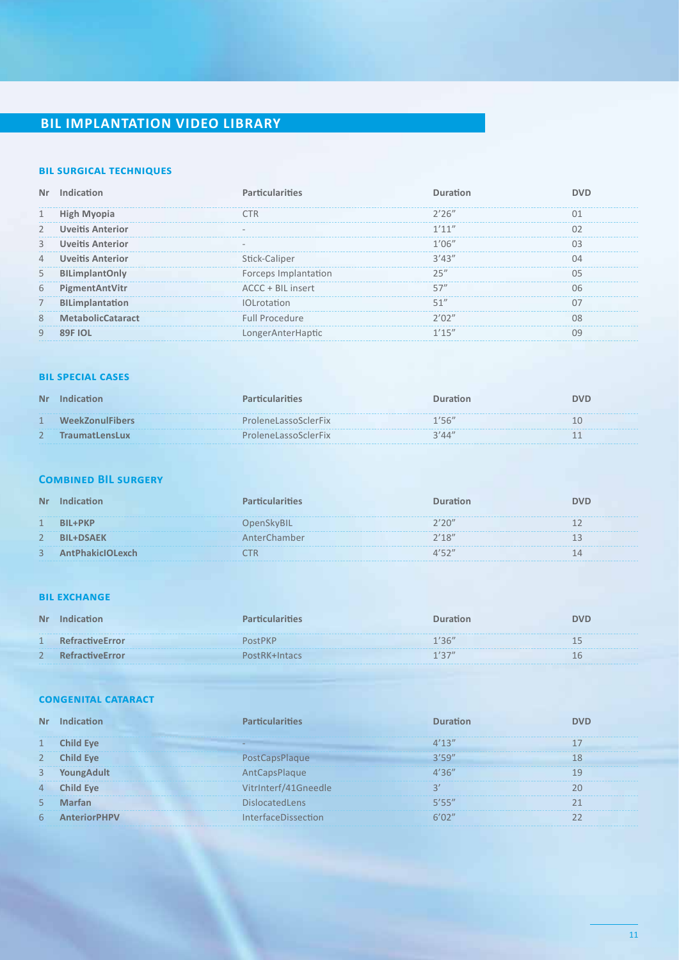## **BIL implantation Video Library**

#### **bil surgical techniques**

|   | Nr Indication            | <b>Particularities</b> |        |    |
|---|--------------------------|------------------------|--------|----|
|   | High Myopia              |                        | 2'26'' |    |
|   | 2 Uveitis Anterior       |                        | '11''  |    |
| 3 | <b>Uveitis Anterior</b>  |                        | 1'በ6"  |    |
| 4 | <b>Uveitis Anterior</b>  | Stick-Caliper          | 3'43'' |    |
| 5 | <b>BILimplantOnly</b>    | Forceps Implantation   |        |    |
| 6 | PigmentAntVitr           | ACCC + BIL insert      |        | 76 |
|   | <b>BILimplantation</b>   | IOI rotation           |        |    |
| 8 | <b>MetabolicCataract</b> | <b>Full Procedure</b>  |        |    |
| 9 | R9E IOL                  | LongerAnterHaptic      | 1'15'' |    |

#### **bil special cases**

| <b>Nr</b> | Indication             | articularities       | Duration | DVD |
|-----------|------------------------|----------------------|----------|-----|
|           | <b>WeekZonulFibers</b> | ProleneLassoSclerFix | 1'56''   | 1 ∩ |
|           | <b>TraumatLensLux</b>  | ProleneLassoSclerFix | 3'44''   |     |

#### **Combined BIL surgery**

| Nr             |                         | <b>dicularities</b> | uration) | DVD |
|----------------|-------------------------|---------------------|----------|-----|
| 1              | BIL+PKP                 | OpenSkvBIL          | 2'20''   |     |
| 2              | <b>BIL+DSAEK</b>        | AnterChamber        | 7'18''   |     |
| $\overline{3}$ | <b>AntPhakicIOLexch</b> |                     |          |     |

#### **bil exchange**

| Nr                  |                        |               |        | <b>DVD</b> |
|---------------------|------------------------|---------------|--------|------------|
| $\blacksquare$<br>- | <b>RefractiveError</b> | PostPKP       | 1'36'' |            |
| $\sim$              | <b>RefractiveError</b> | PostRK+Intacs | 1127″  | l h        |

#### **congenital cataract**

| .Nr |                  |                            |       | DVD |
|-----|------------------|----------------------------|-------|-----|
|     | <b>Child Eye</b> |                            |       |     |
|     | <b>Child Eye</b> | Plague                     |       |     |
|     | YoungAdult       | AntCapsPlaque              |       |     |
| 4   | <b>Child Eye</b> | VitrInterf/41Gneedle       |       |     |
|     |                  | <b>DislocatedLens</b>      | 5'55" |     |
| b   |                  | <b>InterfaceDissection</b> |       |     |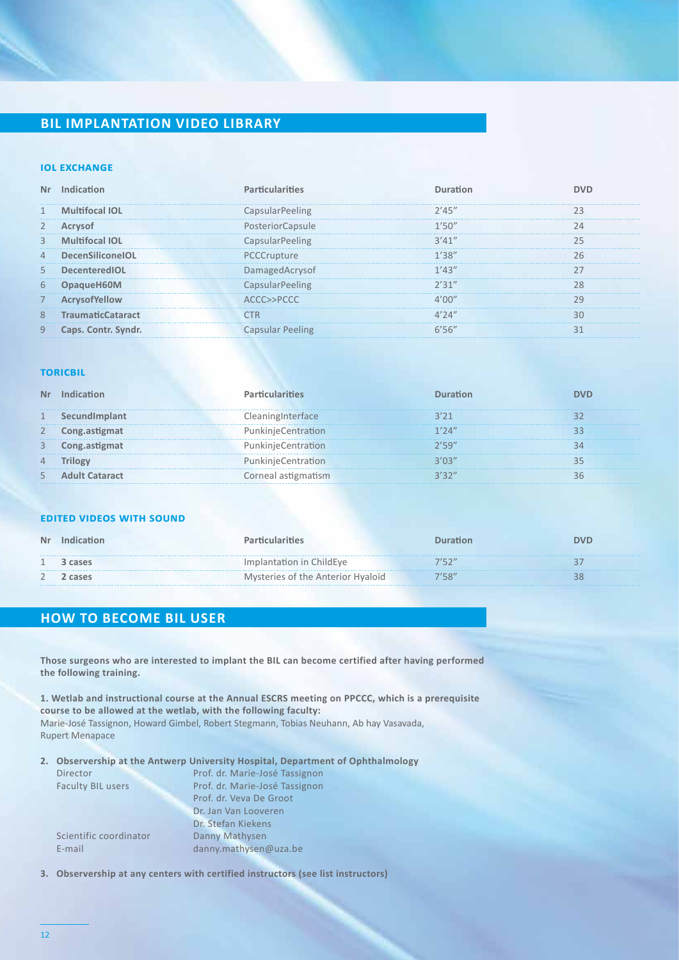## **BIL implantation Video Library**

#### **iol exchange**

| Nr       | Indication              | <b>Particularities</b> | Duration               |    |
|----------|-------------------------|------------------------|------------------------|----|
|          | <b>Multifocal IOL</b>   | <b>CapsularPeeling</b> | 2'45''                 |    |
|          |                         | PosteriorCapsule       | 50"                    |    |
| 3        | Multifocal IOL          | CapsularPeeling        | 3'41''                 |    |
| 4        | <b>DecenSiliconeIOL</b> | PCCCrupture            |                        | 26 |
| 5        | <b>DecenteredIOL</b>    | DamagedAcrysof         | 1'43''                 |    |
| $\sigma$ | <b>OpaqueH60M</b>       | <b>CapsularPeeling</b> | 2'31″                  |    |
|          | AcrysofYellow           | ACCC>PCCC              | 4'00"                  | σq |
| 8        | TraumaticCataract       | CTR.                   | $\Delta'$ 2 $\Delta''$ |    |
| 9        | Caps. Contr. Syndr.     | Capsular Peeling       | 6'56"                  |    |

#### **toricbil**

| Nr             |               |                     |  |
|----------------|---------------|---------------------|--|
|                | Sei           | CleaningInterface   |  |
|                |               | PunkinjeCentration  |  |
|                | Cong.astigmat | PunkinjeCentration  |  |
| $\overline{4}$ |               | PunkinjeCentration  |  |
|                |               | Corneal astigmatism |  |

#### **edited videos with sound**

| Nr | Indication | <b>Particularities</b>            | Duration | סעכ |
|----|------------|-----------------------------------|----------|-----|
|    | 3 cases    | Implantation in ChildEye          |          |     |
|    | 2 cases    | Mysteries of the Anterior Hyaloïd | 7'58"    | 38  |

## **How to become Bil user**

**Those surgeons who are interested to implant the BIL can become certified after having performed the following training.**

**1. Wetlab and instructional course at the Annual ESCRS meeting on PPCCC, which is a prerequisite course to be allowed at the wetlab, with the following faculty:** Marie-José Tassignon, Howard Gimbel, Robert Stegmann, Tobias Neuhann, Ab hay Vasavada, Rupert Menapace

**2. Observership at the Antwerp University Hospital, Department of Ophthalmology**

| Director                 | Prof. dr. Marie-José Tassignon |
|--------------------------|--------------------------------|
| <b>Faculty BIL users</b> | Prof. dr. Marie-José Tassignon |
|                          | Prof. dr. Veva De Groot        |
|                          | Dr. Jan Van Looveren           |
|                          | Dr. Stefan Kiekens             |
| Scientific coordinator   | Danny Mathysen                 |
| E-mail                   | danny.mathysen@uza.be          |
|                          |                                |

**3. Observership at any centers with certified instructors (see list instructors)**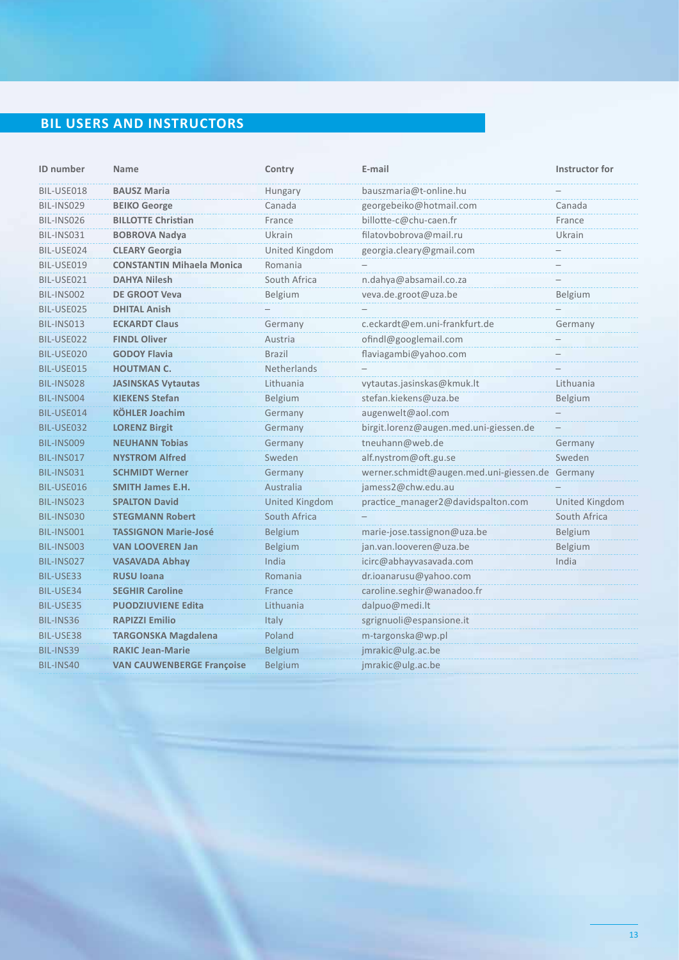## **Bil users and instructors**

| <b>ID</b> number | <b>Name</b>                      | Contry                | E-mail                                          | Instructor for           |
|------------------|----------------------------------|-----------------------|-------------------------------------------------|--------------------------|
| BIL-USE018       | <b>BAUSZ Maria</b>               | Hungary               | bauszmaria@t-online.hu                          |                          |
| BIL-INS029       | <b>BEIKO George</b>              | Canada                | georgebeiko@hotmail.com                         | Canada                   |
| BIL-INS026       | <b>BILLOTTE Christian</b>        | France                | billotte-c@chu-caen.fr                          | France                   |
| BIL-INS031       | <b>BOBROVA Nadya</b>             | Ukrain                | filatovbobrova@mail.ru                          | Ukrain                   |
| BIL-USE024       | <b>CLEARY Georgia</b>            | United Kingdom        | georgia.cleary@gmail.com                        |                          |
| BIL-USE019       | <b>CONSTANTIN Mihaela Monica</b> | Romania               |                                                 | $\overline{\phantom{0}}$ |
| BIL-USE021       | <b>DAHYA Nilesh</b>              | South Africa          | n.dahya@absamail.co.za                          |                          |
| BIL-INS002       | <b>DE GROOT Veva</b>             | Belgium               | veva.de.groot@uza.be                            | Belgium                  |
| BIL-USE025       | <b>DHITAL Anish</b>              |                       |                                                 |                          |
| BIL-INS013       | <b>ECKARDT Claus</b>             | Germany               | c.eckardt@em.uni-frankfurt.de                   | Germany                  |
| BIL-USE022       | <b>FINDL Oliver</b>              | Austria               | ofindl@googlemail.com                           |                          |
| BIL-USE020       | <b>GODOY Flavia</b>              | <b>Brazil</b>         | flaviagambi@yahoo.com                           |                          |
| BIL-USE015       | <b>HOUTMAN C.</b>                | Netherlands           |                                                 |                          |
| BIL-INS028       | <b>JASINSKAS Vytautas</b>        | Lithuania             | vytautas.jasinskas@kmuk.lt                      | Lithuania                |
| BIL-INS004       | <b>KIEKENS Stefan</b>            | Belgium               | stefan.kiekens@uza.be                           | Belgium                  |
| BIL-USE014       | <b>KÖHLER Joachim</b>            | Germany               | augenwelt@aol.com                               |                          |
| BIL-USE032       | <b>LORENZ Birgit</b>             | Germany               | birgit.lorenz@augen.med.uni-giessen.de          |                          |
| BIL-INS009       | <b>NEUHANN Tobias</b>            | Germany               | tneuhann@web.de                                 | Germany                  |
| BIL-INS017       | <b>NYSTROM Alfred</b>            | Sweden                | alf.nystrom@oft.gu.se                           | Sweden                   |
| BIL-INS031       | <b>SCHMIDT Werner</b>            | Germany               | werner.schmidt@augen.med.uni-giessen.de Germany |                          |
| BIL-USE016       | <b>SMITH James E.H.</b>          | Australia             | jamess2@chw.edu.au                              |                          |
| BIL-INS023       | <b>SPALTON David</b>             | <b>United Kingdom</b> | practice_manager2@davidspalton.com              | United Kingdom           |
| BIL-INS030       | <b>STEGMANN Robert</b>           | South Africa          |                                                 | South Africa             |
| BIL-INS001       | <b>TASSIGNON Marie-José</b>      | Belgium               | marie-jose.tassignon@uza.be                     | Belgium                  |
| BIL-INS003       | <b>VAN LOOVEREN Jan</b>          | <b>Belgium</b>        | jan.van.looveren@uza.be                         | Belgium                  |
| BIL-INS027       | <b>VASAVADA Abhay</b>            | India                 | icirc@abhayvasavada.com                         | India                    |
| BIL-USE33        | <b>RUSU loana</b>                | Romania               | dr.ioanarusu@yahoo.com                          |                          |
| BIL-USE34        | <b>SEGHIR Caroline</b>           | France                | caroline.seghir@wanadoo.fr                      |                          |
| BIL-USE35        | <b>PUODZIUVIENE Edita</b>        | Lithuania             | dalpuo@medi.lt                                  |                          |
| BIL-INS36        | <b>RAPIZZI Emilio</b>            | Italy                 | sgrignuoli@espansione.it                        |                          |
| <b>BIL-USE38</b> | <b>TARGONSKA Magdalena</b>       | Poland                | m-targonska@wp.pl                               |                          |
| <b>BIL-INS39</b> | <b>RAKIC Jean-Marie</b>          | <b>Belgium</b>        | jmrakic@ulg.ac.be                               |                          |
| <b>BIL-INS40</b> | <b>VAN CAUWENBERGE Françoise</b> | <b>Belgium</b>        | jmrakic@ulg.ac.be                               |                          |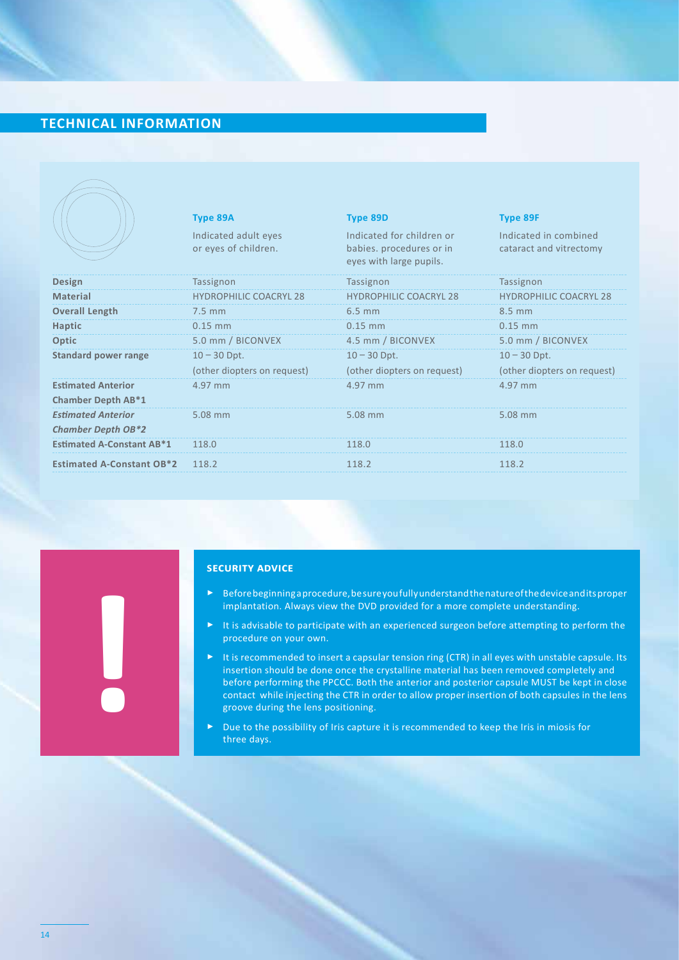### **Technical Information**

|                                  | <b>Type 89A</b><br>Indicated adult eyes<br>or eyes of children. | <b>Type 89D</b><br>Indicated for children or<br>babies. procedures or in<br>eyes with large pupils. | <b>Type 89F</b><br>Indicated in combined<br>cataract and vitrectomy |
|----------------------------------|-----------------------------------------------------------------|-----------------------------------------------------------------------------------------------------|---------------------------------------------------------------------|
| <b>Design</b>                    | Tassignon                                                       | Tassignon                                                                                           | Tassignon                                                           |
| <b>Material</b>                  | <b>HYDROPHILIC COACRYL 28</b>                                   | <b>HYDROPHILIC COACRYL 28</b>                                                                       | <b>HYDROPHILIC COACRYL 28</b>                                       |
| <b>Overall Length</b>            | $7.5$ mm                                                        | $6.5$ mm                                                                                            | 8.5 mm                                                              |
| <b>Haptic</b>                    | $0.15$ mm                                                       | $0.15$ mm                                                                                           | $0.15$ mm                                                           |
| Optic                            | 5.0 mm / BICONVEX                                               | 4.5 mm / BICONVEX                                                                                   | 5.0 mm / BICONVEX                                                   |
| <b>Standard power range</b>      | $10 - 30$ Dpt.                                                  | $10 - 30$ Dpt.                                                                                      | $10 - 30$ Dpt.                                                      |
|                                  | (other diopters on request)                                     | (other diopters on request)                                                                         | (other diopters on request)                                         |
| <b>Estimated Anterior</b>        | 4.97 mm                                                         | 4.97 mm                                                                                             | 4.97 mm                                                             |
| <b>Chamber Depth AB*1</b>        |                                                                 |                                                                                                     |                                                                     |
| <b>Estimated Anterior</b>        | 5.08 mm                                                         | 5.08 mm                                                                                             | 5.08 mm                                                             |
| <b>Chamber Depth OB*2</b>        |                                                                 |                                                                                                     |                                                                     |
| <b>Estimated A-Constant AB*1</b> | 118.0                                                           | 118.0                                                                                               | 118.0                                                               |
| <b>Estimated A-Constant OB*2</b> | 118.2                                                           | 118.2                                                                                               | 118.2                                                               |



- **►** Before beginning a procedure, be sure you fully understand the nature of the device and its proper implantation. Always view the DVD provided for a more complete understanding.
- **►** It is advisable to participate with an experienced surgeon before attempting to perform the procedure on your own.
- **►** It is recommended to insert a capsular tension ring (CTR) in all eyes with unstable capsule. Its insertion should be done once the crystalline material has been removed completely and before performing the PPCCC. Both the anterior and posterior capsule MUST be kept in close contact while injecting the CTR in order to allow proper insertion of both capsules in the lens groove during the lens positioning.
- **►** Due to the possibility of Iris capture it is recommended to keep the Iris in miosis for three days.

**!**